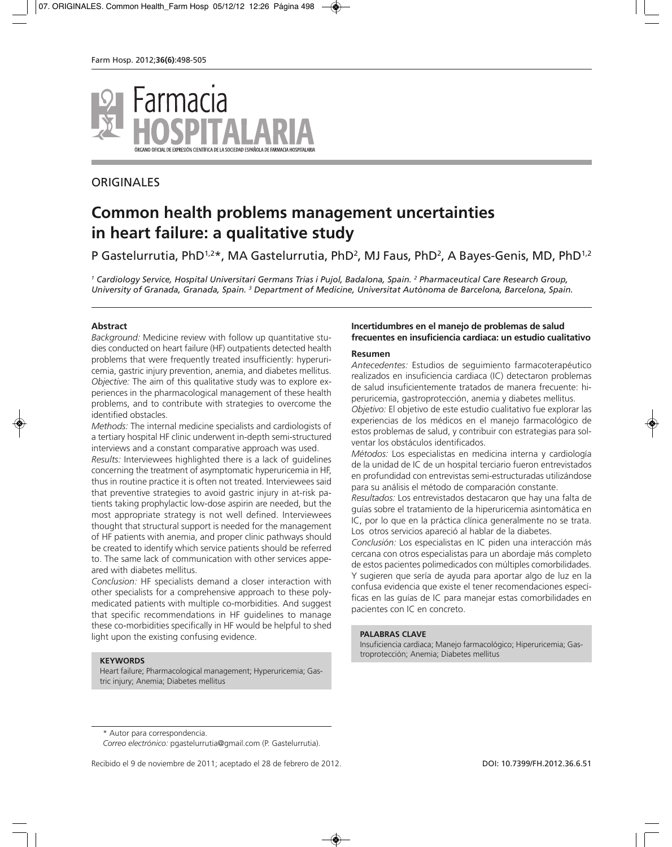

# **ORIGINALES**

# **Common health problems management uncertainties in heart failure: a qualitative study**

# P Gastelurrutia, PhD<sup>1,2\*</sup>, MA Gastelurrutia, PhD<sup>2</sup>, MJ Faus, PhD<sup>2</sup>, A Bayes-Genis, MD, PhD<sup>1,2</sup>

*<sup>1</sup> Cardiology Service, Hospital Universitari Germans Trias i Pujol, Badalona, Spain. 2 Pharmaceutical Care Research Group, University of Granada, Granada, Spain. 3 Department of Medicine, Universitat Autònoma de Barcelona, Barcelona, Spain.*

#### **Abstract**

*Background:* Medicine review with follow up quantitative studies conducted on heart failure (HF) outpatients detected health problems that were frequently treated insufficiently: hyperuricemia, gastric injury prevention, anemia, and diabetes mellitus. *Objective:* The aim of this qualitative study was to explore experiences in the pharmacological management of these health problems, and to contribute with strategies to overcome the identified obstacles.

*Methods:* The internal medicine specialists and cardiologists of a tertiary hospital HF clinic underwent in-depth semi-structured interviews and a constant comparative approach was used.

*Results:* Interviewees highlighted there is a lack of guidelines concerning the treatment of asymptomatic hyperuricemia in HF, thus in routine practice it is often not treated. Interviewees said that preventive strategies to avoid gastric injury in at-risk patients taking prophylactic low-dose aspirin are needed, but the most appropriate strategy is not well defined. Interviewees thought that structural support is needed for the management of HF patients with anemia, and proper clinic pathways should be created to identify which service patients should be referred to. The same lack of communication with other services appeared with diabetes mellitus.

*Conclusion:* HF specialists demand a closer interaction with other specialists for a comprehensive approach to these polymedicated patients with multiple co-morbidities. And suggest that specific recommendations in HF guidelines to manage these co-morbidities specifically in HF would be helpful to shed light upon the existing confusing evidence.

#### **KEYWORDS**

Heart failure; Pharmacological management; Hyperuricemia; Gastric injury; Anemia; Diabetes mellitus

## **Incertidumbres en el manejo de problemas de salud frecuentes en insuficiencia cardiaca: un estudio cualitativo**

#### **Resumen**

*Antecedentes:* Estudios de seguimiento farmacoterapéutico realizados en insuficiencia cardiaca (IC) detectaron problemas de salud insuficientemente tratados de manera frecuente: hiperuricemia, gastroprotección, anemia y diabetes mellitus.

*Objetivo:* El objetivo de este estudio cualitativo fue explorar las experiencias de los médicos en el manejo farmacológico de estos problemas de salud, y contribuir con estrategias para solventar los obstáculos identificados.

*Métodos:* Los especialistas en medicina interna y cardiología de la unidad de IC de un hospital terciario fueron entrevistados en profundidad con entrevistas semi-estructuradas utilizándose para su análisis el método de comparación constante.

*Resultados:* Los entrevistados destacaron que hay una falta de guías sobre el tratamiento de la hiperuricemia asintomática en IC, por lo que en la práctica clínica generalmente no se trata. Los otros servicios apareció al hablar de la diabetes.

*Conclusión:* Los especialistas en IC piden una interacción más cercana con otros especialistas para un abordaje más completo de estos pacientes polimedicados con múltiples comorbilidades. Y sugieren que sería de ayuda para aportar algo de luz en la confusa evidencia que existe el tener recomendaciones específicas en las guías de IC para manejar estas comorbilidades en pacientes con IC en concreto.

#### **PALABRAS CLAVE**

Insuficiencia cardiaca; Manejo farmacológico; Hiperuricemia; Gastroprotección; Anemia; Diabetes mellitus

Recibido el 9 de noviembre de 2011; aceptado el 28 de febrero de 2012. DOI: DOI: 10.7399/FH.2012.36.6.51

<sup>\*</sup> Autor para correspondencia.

*Correo electrónico:* pgastelurrutia@gmail.com (P. Gastelurrutia).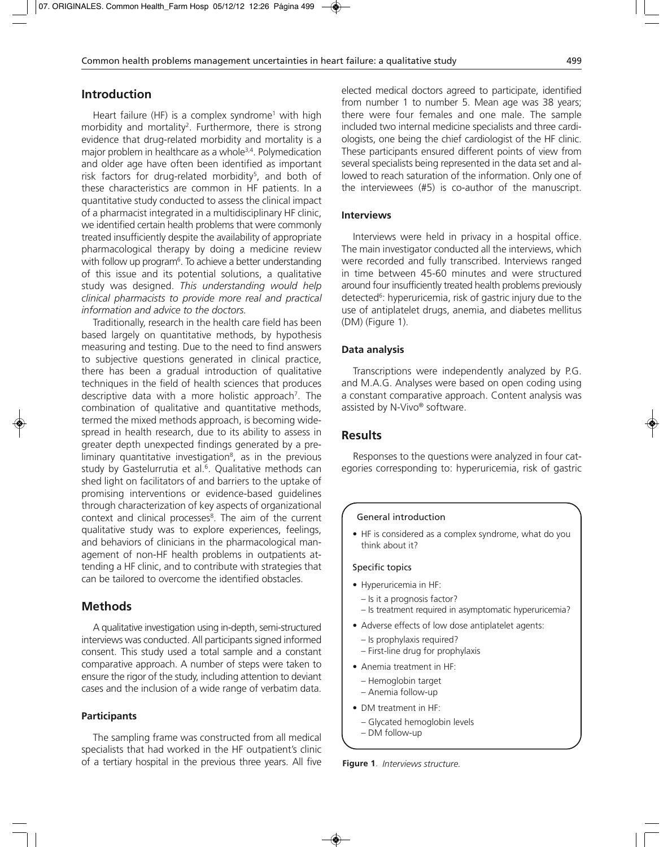# **Introduction**

Heart failure (HF) is a complex syndrome<sup>1</sup> with high morbidity and mortality2. Furthermore, there is strong evidence that drug-related morbidity and mortality is a major problem in healthcare as a whole<sup>3,4</sup>. Polymedication and older age have often been identified as important risk factors for drug-related morbidity<sup>5</sup>, and both of these characteristics are common in HF patients. In a quantitative study conducted to assess the clinical impact of a pharmacist integrated in a multidisciplinary HF clinic, we identified certain health problems that were commonly treated insufficiently despite the availability of appropriate pharmacological therapy by doing a medicine review with follow up program $^{\rm 6}$ . To achieve a better understanding of this issue and its potential solutions, a qualitative study was designed. *This understanding would help clinical pharmacists to provide more real and practical information and advice to the doctors.*

Traditionally, research in the health care field has been based largely on quantitative methods, by hypothesis measuring and testing. Due to the need to find answers to subjective questions generated in clinical practice, there has been a gradual introduction of qualitative techniques in the field of health sciences that produces descriptive data with a more holistic approach<sup>7</sup>. The combination of qualitative and quantitative methods, termed the mixed methods approach, is becoming widespread in health research, due to its ability to assess in greater depth unexpected findings generated by a preliminary quantitative investigation $8$ , as in the previous study by Gastelurrutia et al.<sup>6</sup>. Qualitative methods can shed light on facilitators of and barriers to the uptake of promising interventions or evidence-based guidelines through characterization of key aspects of organizational context and clinical processes<sup>8</sup>. The aim of the current qualitative study was to explore experiences, feelings, and behaviors of clinicians in the pharmacological management of non-HF health problems in outpatients attending a HF clinic, and to contribute with strategies that can be tailored to overcome the identified obstacles.

# **Methods**

A qualitative investigation using in-depth, semi-structured interviews was conducted. All participants signed informed consent. This study used a total sample and a constant comparative approach. A number of steps were taken to ensure the rigor of the study, including attention to deviant cases and the inclusion of a wide range of verbatim data.

## **Participants**

The sampling frame was constructed from all medical specialists that had worked in the HF outpatient's clinic of a tertiary hospital in the previous three years. All five

elected medical doctors agreed to participate, identified from number 1 to number 5. Mean age was 38 years; there were four females and one male. The sample included two internal medicine specialists and three cardiologists, one being the chief cardiologist of the HF clinic. These participants ensured different points of view from several specialists being represented in the data set and allowed to reach saturation of the information. Only one of the interviewees (#5) is co-author of the manuscript.

#### **Interviews**

Interviews were held in privacy in a hospital office. The main investigator conducted all the interviews, which were recorded and fully transcribed. Interviews ranged in time between 45-60 minutes and were structured around four insufficiently treated health problems previously detected<sup>6</sup>: hyperuricemia, risk of gastric injury due to the use of antiplatelet drugs, anemia, and diabetes mellitus (DM) (Figure 1).

#### **Data analysis**

Transcriptions were independently analyzed by P.G. and M.A.G. Analyses were based on open coding using a constant comparative approach. Content analysis was assisted by N-Vivo® software.

## **Results**

Responses to the questions were analyzed in four categories corresponding to: hyperuricemia, risk of gastric

#### General introduction

• HF is considered as a complex syndrome, what do you think about it?

#### Specific topics

- Hyperuricemia in HF:
	- Is it a prognosis factor?
	- Is treatment required in asymptomatic hyperuricemia?
- Adverse effects of low dose antiplatelet agents:
	- Is prophylaxis required?
	- First-line drug for prophylaxis
- Anemia treatment in HF:
	- Hemoglobin target
	- Anemia follow-up
- DM treatment in HF:
	- Glycated hemoglobin levels
	- DM follow-up

**Figure 1**. *Interviews structure.*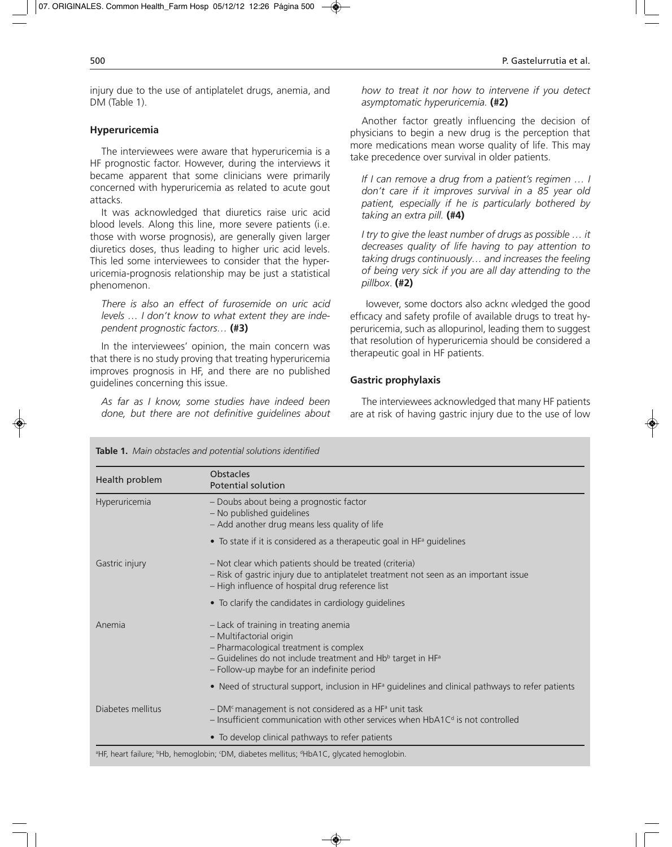injury due to the use of antiplatelet drugs, anemia, and DM (Table 1).

#### **Hyperuricemia**

The interviewees were aware that hyperuricemia is a HF prognostic factor. However, during the interviews it became apparent that some clinicians were primarily concerned with hyperuricemia as related to acute gout attacks.

It was acknowledged that diuretics raise uric acid blood levels. Along this line, more severe patients (i.e. those with worse prognosis), are generally given larger diuretics doses, thus leading to higher uric acid levels. This led some interviewees to consider that the hyperuricemia-prognosis relationship may be just a statistical phenomenon.

*There is also an effect of furosemide on uric acid levels … I don't know to what extent they are independent prognostic factors…* **(#3)**

In the interviewees' opinion, the main concern was that there is no study proving that treating hyperuricemia improves prognosis in HF, and there are no published guidelines concerning this issue.

*As far as I know, some studies have indeed been done, but there are not definitive guidelines about* *how to treat it nor how to intervene if you detect asymptomatic hyperuricemia.* **(#2)**

Another factor greatly influencing the decision of physicians to begin a new drug is the perception that more medications mean worse quality of life. This may take precedence over survival in older patients.

*If I can remove a drug from a patient's regimen … I don't care if it improves survival in a 85 year old patient, especially if he is particularly bothered by taking an extra pill.* **(#4)**

*I try to give the least number of drugs as possible … it decreases quality of life having to pay attention to taking drugs continuously… and increases the feeling of being very sick if you are all day attending to the pillbox*. **(#2)**

lowever, some doctors also acknowledged the good efficacy and safety profile of available drugs to treat hyperuricemia, such as allopurinol, leading them to suggest that resolution of hyperuricemia should be considered a therapeutic goal in HF patients.

## **Gastric prophylaxis**

The interviewees acknowledged that many HF patients are at risk of having gastric injury due to the use of low

| Health problem    | <b>Obstacles</b><br><b>Potential solution</b>                                                                                                                                                                               |
|-------------------|-----------------------------------------------------------------------------------------------------------------------------------------------------------------------------------------------------------------------------|
| Hyperuricemia     | - Doubs about being a prognostic factor<br>- No published guidelines<br>- Add another drug means less quality of life                                                                                                       |
|                   | • To state if it is considered as a therapeutic goal in $HFa$ guidelines                                                                                                                                                    |
| Gastric injury    | - Not clear which patients should be treated (criteria)<br>- Risk of gastric injury due to antiplatelet treatment not seen as an important issue<br>- High influence of hospital drug reference list                        |
|                   | • To clarify the candidates in cardiology guidelines                                                                                                                                                                        |
| Anemia            | - Lack of training in treating anemia<br>- Multifactorial origin<br>- Pharmacological treatment is complex<br>– Guidelines do not include treatment and $Hbb$ target in $HFa$<br>- Follow-up maybe for an indefinite period |
|                   | • Need of structural support, inclusion in HF <sup>a</sup> guidelines and clinical pathways to refer patients                                                                                                               |
| Diabetes mellitus | - DM <sup>c</sup> management is not considered as a HF <sup>a</sup> unit task<br>$-$ Insufficient communication with other services when HbA1 $Cd$ is not controlled                                                        |
|                   | • To develop clinical pathways to refer patients                                                                                                                                                                            |

**Table 1.** *Main obstacles and potential solutions identified*

<sup>a</sup>HF, heart failure; <sup>b</sup>Hb, hemoglobin; <sup>c</sup>DM, diabetes mellitus; <sup>d</sup>HbA1C, glycated hemoglobin.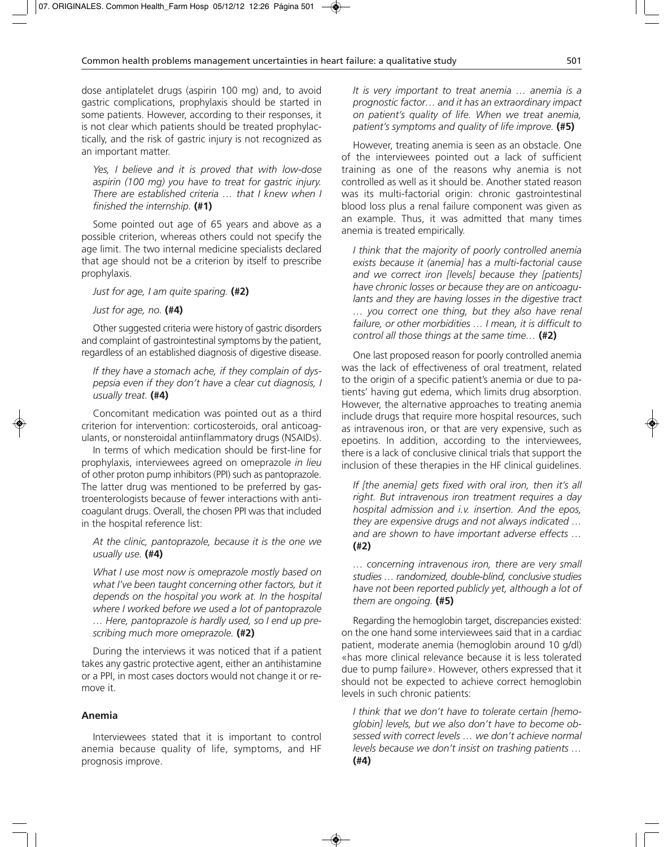dose antiplatelet drugs (aspirin 100 mg) and, to avoid gastric complications, prophylaxis should be started in some patients. However, according to their responses, it is not clear which patients should be treated prophylactically, and the risk of gastric injury is not recognized as an important matter.

*Yes, I believe and it is proved that with low-dose aspirin (100 mg) you have to treat for gastric injury. There are established criteria … that I knew when I finished the internship.* **(#1)**

Some pointed out age of 65 years and above as a possible criterion, whereas others could not specify the age limit. The two internal medicine specialists declared that age should not be a criterion by itself to prescribe prophylaxis.

*Just for age, I am quite sparing.* **(#2)**

#### *Just for age, no.* **(#4)**

Other suggested criteria were history of gastric disorders and complaint of gastrointestinal symptoms by the patient, regardless of an established diagnosis of digestive disease.

*If they have a stomach ache, if they complain of dyspepsia even if they don't have a clear cut diagnosis, I usually treat.* **(#4)**

Concomitant medication was pointed out as a third criterion for intervention: corticosteroids, oral anticoagulants, or nonsteroidal antiinflammatory drugs (NSAIDs).

In terms of which medication should be first-line for prophylaxis, interviewees agreed on omeprazole *in lieu* of other proton pump inhibitors (PPI) such as pantoprazole. The latter drug was mentioned to be preferred by gastroenterologists because of fewer interactions with anticoagulant drugs. Overall, the chosen PPI was that included in the hospital reference list:

## *At the clinic, pantoprazole, because it is the one we usually use.* **(#4)**

*What I use most now is omeprazole mostly based on what I've been taught concerning other factors, but it depends on the hospital you work at. In the hospital where I worked before we used a lot of pantoprazole … Here, pantoprazole is hardly used, so I end up prescribing much more omeprazole.* **(#2)**

During the interviews it was noticed that if a patient takes any gastric protective agent, either an antihistamine or a PPI, in most cases doctors would not change it or remove it.

## **Anemia**

Interviewees stated that it is important to control anemia because quality of life, symptoms, and HF prognosis improve.

*It is very important to treat anemia … anemia is a prognostic factor… and it has an extraordinary impact on patient's quality of life. When we treat anemia, patient's symptoms and quality of life improve.* **(#5)**

However, treating anemia is seen as an obstacle. One of the interviewees pointed out a lack of sufficient training as one of the reasons why anemia is not controlled as well as it should be. Another stated reason was its multi-factorial origin: chronic gastrointestinal blood loss plus a renal failure component was given as an example. Thus, it was admitted that many times anemia is treated empirically.

*I think that the majority of poorly controlled anemia exists because it (anemia] has a multi-factorial cause and we correct iron [levels] because they [patients] have chronic losses or because they are on anticoagulants and they are having losses in the digestive tract … you correct one thing, but they also have renal failure, or other morbidities … I mean, it is difficult to control all those things at the same time…* **(#2)**

One last proposed reason for poorly controlled anemia was the lack of effectiveness of oral treatment, related to the origin of a specific patient's anemia or due to patients' having gut edema, which limits drug absorption. However, the alternative approaches to treating anemia include drugs that require more hospital resources, such as intravenous iron, or that are very expensive, such as epoetins. In addition, according to the interviewees, there is a lack of conclusive clinical trials that support the inclusion of these therapies in the HF clinical guidelines.

*If [the anemia] gets fixed with oral iron, then it's all right. But intravenous iron treatment requires a day hospital admission and i.v. insertion. And the epos, they are expensive drugs and not always indicated … and are shown to have important adverse effects …* **(#2)**

*… concerning intravenous iron, there are very small studies … randomized, double-blind, conclusive studies have not been reported publicly yet, although a lot of them are ongoing.* **(#5)**

Regarding the hemoglobin target, discrepancies existed: on the one hand some interviewees said that in a cardiac patient, moderate anemia (hemoglobin around 10 g/dl) «has more clinical relevance because it is less tolerated due to pump failure». However, others expressed that it should not be expected to achieve correct hemoglobin levels in such chronic patients:

*I think that we don't have to tolerate certain [hemoglobin] levels, but we also don't have to become obsessed with correct levels … we don't achieve normal levels because we don't insist on trashing patients …* **(#4)**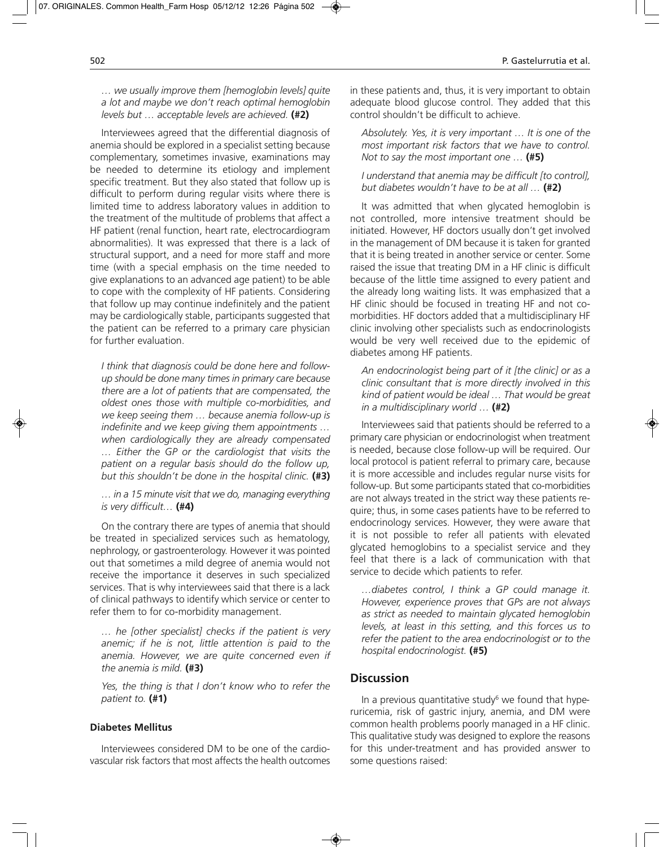## *… we usually improve them [hemoglobin levels] quite a lot and maybe we don't reach optimal hemoglobin levels but … acceptable levels are achieved.* **(#2)**

Interviewees agreed that the differential diagnosis of anemia should be explored in a specialist setting because complementary, sometimes invasive, examinations may be needed to determine its etiology and implement specific treatment. But they also stated that follow up is difficult to perform during regular visits where there is limited time to address laboratory values in addition to the treatment of the multitude of problems that affect a HF patient (renal function, heart rate, electrocardiogram abnormalities). It was expressed that there is a lack of structural support, and a need for more staff and more time (with a special emphasis on the time needed to give explanations to an advanced age patient) to be able to cope with the complexity of HF patients. Considering that follow up may continue indefinitely and the patient may be cardiologically stable, participants suggested that the patient can be referred to a primary care physician for further evaluation.

*I think that diagnosis could be done here and followup should be done many times in primary care because there are a lot of patients that are compensated, the oldest ones those with multiple co-morbidities, and we keep seeing them … because anemia follow-up is indefinite and we keep giving them appointments … when cardiologically they are already compensated … Either the GP or the cardiologist that visits the patient on a regular basis should do the follow up, but this shouldn't be done in the hospital clinic.* **(#3)**

*… in a 15 minute visit that we do, managing everything is very difficult…* **(#4)**

On the contrary there are types of anemia that should be treated in specialized services such as hematology, nephrology, or gastroenterology. However it was pointed out that sometimes a mild degree of anemia would not receive the importance it deserves in such specialized services. That is why interviewees said that there is a lack of clinical pathways to identify which service or center to refer them to for co-morbidity management.

*… he [other specialist] checks if the patient is very anemic; if he is not, little attention is paid to the anemia. However, we are quite concerned even if the anemia is mild.* **(#3)**

*Yes, the thing is that I don't know who to refer the patient to.* **(#1)**

## **Diabetes Mellitus**

Interviewees considered DM to be one of the cardiovascular risk factors that most affects the health outcomes in these patients and, thus, it is very important to obtain adequate blood glucose control. They added that this control shouldn't be difficult to achieve.

*Absolutely. Yes, it is very important … It is one of the most important risk factors that we have to control. Not to say the most important one …* **(#5)**

*I understand that anemia may be difficult [to control], but diabetes wouldn't have to be at all …* **(#2)**

It was admitted that when glycated hemoglobin is not controlled, more intensive treatment should be initiated. However, HF doctors usually don't get involved in the management of DM because it is taken for granted that it is being treated in another service or center. Some raised the issue that treating DM in a HF clinic is difficult because of the little time assigned to every patient and the already long waiting lists. It was emphasized that a HF clinic should be focused in treating HF and not comorbidities. HF doctors added that a multidisciplinary HF clinic involving other specialists such as endocrinologists would be very well received due to the epidemic of diabetes among HF patients.

*An endocrinologist being part of it [the clinic] or as a clinic consultant that is more directly involved in this kind of patient would be ideal … That would be great in a multidisciplinary world …* **(#2)**

Interviewees said that patients should be referred to a primary care physician or endocrinologist when treatment is needed, because close follow-up will be required. Our local protocol is patient referral to primary care, because it is more accessible and includes regular nurse visits for follow-up. But some participants stated that co-morbidities are not always treated in the strict way these patients require; thus, in some cases patients have to be referred to endocrinology services. However, they were aware that it is not possible to refer all patients with elevated glycated hemoglobins to a specialist service and they feel that there is a lack of communication with that service to decide which patients to refer.

*…diabetes control, I think a GP could manage it. However, experience proves that GPs are not always as strict as needed to maintain glycated hemoglobin levels, at least in this setting, and this forces us to refer the patient to the area endocrinologist or to the hospital endocrinologist.* **(#5)**

## **Discussion**

In a previous quantitative study<sup>6</sup> we found that hyperuricemia, risk of gastric injury, anemia, and DM were common health problems poorly managed in a HF clinic. This qualitative study was designed to explore the reasons for this under-treatment and has provided answer to some questions raised: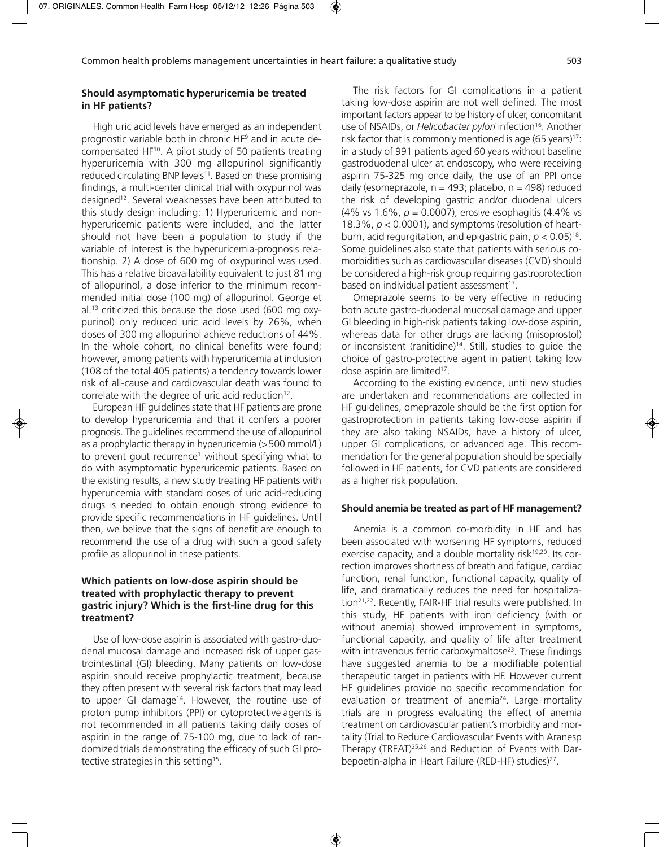## **Should asymptomatic hyperuricemia be treated in HF patients?**

High uric acid levels have emerged as an independent prognostic variable both in chronic HF9 and in acute decompensated HF<sup>10</sup>. A pilot study of 50 patients treating hyperuricemia with 300 mg allopurinol significantly reduced circulating BNP levels<sup>11</sup>. Based on these promising findings, a multi-center clinical trial with oxypurinol was designed12. Several weaknesses have been attributed to this study design including: 1) Hyperuricemic and nonhyperuricemic patients were included, and the latter should not have been a population to study if the variable of interest is the hyperuricemia-prognosis relationship. 2) A dose of 600 mg of oxypurinol was used. This has a relative bioavailability equivalent to just 81 mg of allopurinol, a dose inferior to the minimum recommended initial dose (100 mg) of allopurinol. George et al.13 criticized this because the dose used (600 mg oxypurinol) only reduced uric acid levels by 26%, when doses of 300 mg allopurinol achieve reductions of 44%. In the whole cohort, no clinical benefits were found; however, among patients with hyperuricemia at inclusion (108 of the total 405 patients) a tendency towards lower risk of all-cause and cardiovascular death was found to correlate with the degree of uric acid reduction<sup>12</sup>.

European HF guidelines state that HF patients are prone to develop hyperuricemia and that it confers a poorer prognosis. The guidelines recommend the use of allopurinol as a prophylactic therapy in hyperuricemia (>500 mmol/L) to prevent gout recurrence<sup>1</sup> without specifying what to do with asymptomatic hyperuricemic patients. Based on the existing results, a new study treating HF patients with hyperuricemia with standard doses of uric acid-reducing drugs is needed to obtain enough strong evidence to provide specific recommendations in HF guidelines. Until then, we believe that the signs of benefit are enough to recommend the use of a drug with such a good safety profile as allopurinol in these patients.

## **Which patients on low-dose aspirin should be treated with prophylactic therapy to prevent gastric injury? Which is the first-line drug for this treatment?**

Use of low-dose aspirin is associated with gastro-duodenal mucosal damage and increased risk of upper gastrointestinal (GI) bleeding. Many patients on low-dose aspirin should receive prophylactic treatment, because they often present with several risk factors that may lead to upper GI damage<sup>14</sup>. However, the routine use of proton pump inhibitors (PPI) or cytoprotective agents is not recommended in all patients taking daily doses of aspirin in the range of 75-100 mg, due to lack of randomized trials demonstrating the efficacy of such GI protective strategies in this setting<sup>15</sup>.

The risk factors for GI complications in a patient taking low-dose aspirin are not well defined. The most important factors appear to be history of ulcer, concomitant use of NSAIDs, or *Helicobacter pylori* infection<sup>16</sup>. Another risk factor that is commonly mentioned is age  $(65 \text{ years})^{17}$ : in a study of 991 patients aged 60 years without baseline gastroduodenal ulcer at endoscopy, who were receiving aspirin 75-325 mg once daily, the use of an PPI once daily (esomeprazole,  $n = 493$ ; placebo,  $n = 498$ ) reduced the risk of developing gastric and/or duodenal ulcers (4% vs 1.6%, *p* = 0.0007), erosive esophagitis (4.4% vs 18.3%, *p* < 0.0001), and symptoms (resolution of heartburn, acid regurgitation, and epigastric pain,  $p < 0.05$ <sup>18</sup>. Some guidelines also state that patients with serious comorbidities such as cardiovascular diseases (CVD) should be considered a high-risk group requiring gastroprotection based on individual patient assessment<sup>17</sup>.

Omeprazole seems to be very effective in reducing both acute gastro-duodenal mucosal damage and upper GI bleeding in high-risk patients taking low-dose aspirin, whereas data for other drugs are lacking (misoprostol) or inconsistent (ranitidine)<sup>14</sup>. Still, studies to quide the choice of gastro-protective agent in patient taking low dose aspirin are limited<sup>17</sup>.

According to the existing evidence, until new studies are undertaken and recommendations are collected in HF guidelines, omeprazole should be the first option for gastroprotection in patients taking low-dose aspirin if they are also taking NSAIDs, have a history of ulcer, upper GI complications, or advanced age. This recommendation for the general population should be specially followed in HF patients, for CVD patients are considered as a higher risk population.

#### **Should anemia be treated as part of HF management?**

Anemia is a common co-morbidity in HF and has been associated with worsening HF symptoms, reduced exercise capacity, and a double mortality risk<sup>19,20</sup>. Its correction improves shortness of breath and fatigue, cardiac function, renal function, functional capacity, quality of life, and dramatically reduces the need for hospitalization<sup>21,22</sup>. Recently, FAIR-HF trial results were published. In this study, HF patients with iron deficiency (with or without anemia) showed improvement in symptoms, functional capacity, and quality of life after treatment with intravenous ferric carboxymaltose<sup>23</sup>. These findings have suggested anemia to be a modifiable potential therapeutic target in patients with HF. However current HF guidelines provide no specific recommendation for evaluation or treatment of anemia<sup>24</sup>. Large mortality trials are in progress evaluating the effect of anemia treatment on cardiovascular patient's morbidity and mortality (Trial to Reduce Cardiovascular Events with Aranesp Therapy (TREAT)25,26 and Reduction of Events with Darbepoetin-alpha in Heart Failure (RED-HF) studies)<sup>27</sup>.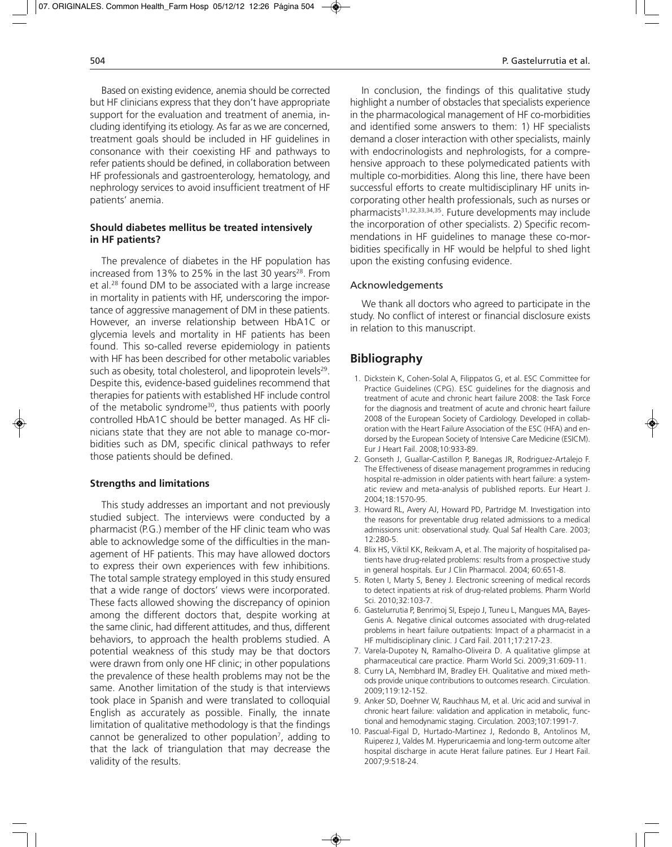Based on existing evidence, anemia should be corrected but HF clinicians express that they don't have appropriate support for the evaluation and treatment of anemia, including identifying its etiology. As far as we are concerned, treatment goals should be included in HF guidelines in consonance with their coexisting HF and pathways to refer patients should be defined, in collaboration between HF professionals and gastroenterology, hematology, and nephrology services to avoid insufficient treatment of HF patients' anemia.

#### **Should diabetes mellitus be treated intensively in HF patients?**

The prevalence of diabetes in the HF population has increased from 13% to 25% in the last 30 years<sup>28</sup>. From et al.28 found DM to be associated with a large increase in mortality in patients with HF, underscoring the importance of aggressive management of DM in these patients. However, an inverse relationship between HbA1C or glycemia levels and mortality in HF patients has been found. This so-called reverse epidemiology in patients with HF has been described for other metabolic variables such as obesity, total cholesterol, and lipoprotein levels<sup>29</sup>. Despite this, evidence-based guidelines recommend that therapies for patients with established HF include control of the metabolic syndrome<sup>30</sup>, thus patients with poorly controlled HbA1C should be better managed. As HF clinicians state that they are not able to manage co-morbidities such as DM, specific clinical pathways to refer those patients should be defined.

#### **Strengths and limitations**

This study addresses an important and not previously studied subject. The interviews were conducted by a pharmacist (P.G.) member of the HF clinic team who was able to acknowledge some of the difficulties in the management of HF patients. This may have allowed doctors to express their own experiences with few inhibitions. The total sample strategy employed in this study ensured that a wide range of doctors' views were incorporated. These facts allowed showing the discrepancy of opinion among the different doctors that, despite working at the same clinic, had different attitudes, and thus, different behaviors, to approach the health problems studied. A potential weakness of this study may be that doctors were drawn from only one HF clinic; in other populations the prevalence of these health problems may not be the same. Another limitation of the study is that interviews took place in Spanish and were translated to colloquial English as accurately as possible. Finally, the innate limitation of qualitative methodology is that the findings cannot be generalized to other population<sup>7</sup>, adding to that the lack of triangulation that may decrease the validity of the results.

In conclusion, the findings of this qualitative study highlight a number of obstacles that specialists experience in the pharmacological management of HF co-morbidities and identified some answers to them: 1) HF specialists demand a closer interaction with other specialists, mainly with endocrinologists and nephrologists, for a comprehensive approach to these polymedicated patients with multiple co-morbidities. Along this line, there have been successful efforts to create multidisciplinary HF units incorporating other health professionals, such as nurses or pharmacists31,32,33,34,35. Future developments may include the incorporation of other specialists. 2) Specific recommendations in HF guidelines to manage these co-morbidities specifically in HF would be helpful to shed light upon the existing confusing evidence.

#### Acknowledgements

We thank all doctors who agreed to participate in the study. No conflict of interest or financial disclosure exists in relation to this manuscript.

## **Bibliography**

- 1. Dickstein K, Cohen-Solal A, Filippatos G, et al. ESC Committee for Practice Guidelines (CPG). ESC guidelines for the diagnosis and treatment of acute and chronic heart failure 2008: the Task Force for the diagnosis and treatment of acute and chronic heart failure 2008 of the European Society of Cardiology. Developed in collaboration with the Heart Failure Association of the ESC (HFA) and endorsed by the European Society of Intensive Care Medicine (ESICM). Eur J Heart Fail. 2008;10:933-89.
- 2. Gonseth J, Guallar-Castillon P, Banegas JR, Rodriguez-Artalejo F. The Effectiveness of disease management programmes in reducing hospital re-admission in older patients with heart failure: a systematic review and meta-analysis of published reports. Eur Heart J. 2004;18:1570-95.
- 3. Howard RL, Avery AJ, Howard PD, Partridge M. Investigation into the reasons for preventable drug related admissions to a medical admissions unit: observational study. Qual Saf Health Care. 2003; 12:280-5.
- 4. Blix HS, Viktil KK, Reikvam A, et al. The majority of hospitalised patients have drug-related problems: results from a prospective study in general hospitals. Eur J Clin Pharmacol. 2004; 60:651-8.
- 5. Roten I, Marty S, Beney J. Electronic screening of medical records to detect inpatients at risk of drug-related problems. Pharm World Sci. 2010;32:103-7.
- 6. Gastelurrutia P, Benrimoj SI, Espejo J, Tuneu L, Mangues MA, Bayes-Genis A. Negative clinical outcomes associated with drug-related problems in heart failure outpatients: Impact of a pharmacist in a HF multidisciplinary clinic. J Card Fail. 2011;17:217-23.
- 7. Varela-Dupotey N, Ramalho-Oliveira D. A qualitative glimpse at pharmaceutical care practice. Pharm World Sci. 2009;31:609-11.
- 8. Curry LA, Nembhard IM, Bradley EH. Qualitative and mixed methods provide unique contributions to outcomes research. Circulation. 2009;119:12-152.
- 9. Anker SD, Doehner W, Rauchhaus M, et al. Uric acid and survival in chronic heart failure: validation and application in metabolic, functional and hemodynamic staging. Circulation. 2003;107:1991-7.
- 10. Pascual-Figal D, Hurtado-Martinez J, Redondo B, Antolinos M, Ruiperez J, Valdes M. Hyperuricaemia and long-term outcome alter hospital discharge in acute Herat failure patines. Eur J Heart Fail. 2007;9:518-24.